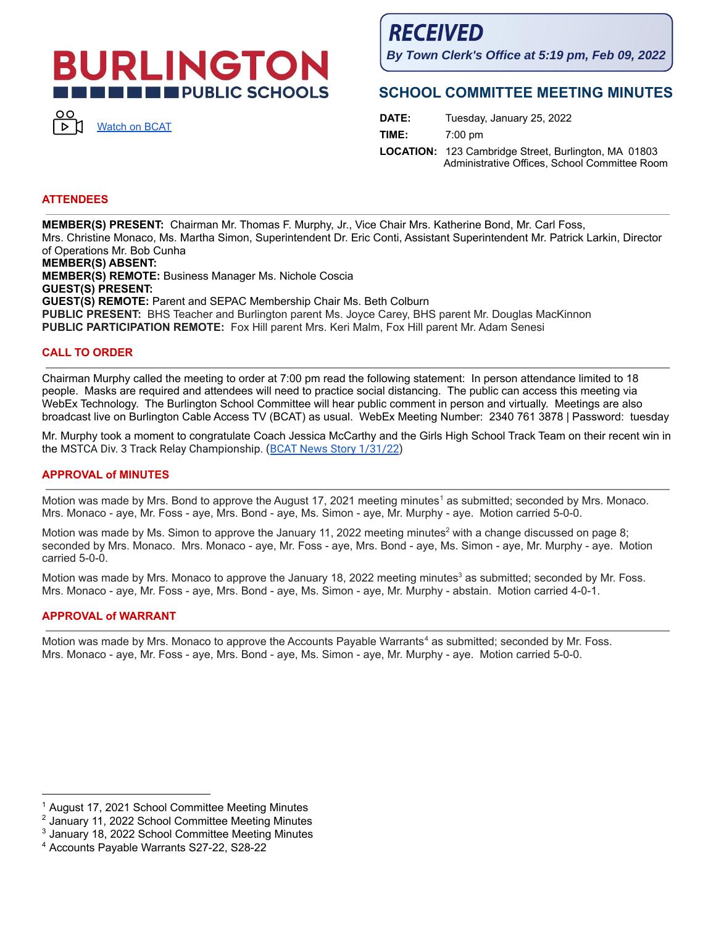# **JRLINGTON THE ENDIREGY SCHOOLS**



**RECEIVED** 

**By Town Clerk's Office at 5:19 pm, Feb 09, 2022**

# **SCHOOL COMMITTEE MEETING MINUTES**

**DATE:** Tuesday, January 25, 2022 **TIME:** 7:00 pm **LOCATION:** 123 Cambridge Street, Burlington, MA 01803 Administrative Offices, School Committee Room

# **ATTENDEES**

**MEMBER(S) PRESENT:** Chairman Mr. Thomas F. Murphy, Jr., Vice Chair Mrs. Katherine Bond, Mr. Carl Foss, Mrs. Christine Monaco, Ms. Martha Simon, Superintendent Dr. Eric Conti, Assistant Superintendent Mr. Patrick Larkin, Director of Operations Mr. Bob Cunha

**MEMBER(S) ABSENT: MEMBER(S) REMOTE:** Business Manager Ms. Nichole Coscia **GUEST(S) PRESENT: GUEST(S) REMOTE:** Parent and SEPAC Membership Chair Ms. Beth Colburn **PUBLIC PRESENT:** BHS Teacher and Burlington parent Ms. Joyce Carey, BHS parent Mr. Douglas MacKinnon **PUBLIC PARTICIPATION REMOTE:** Fox Hill parent Mrs. Keri Malm, Fox Hill parent Mr. Adam Senesi

### **CALL TO ORDER**

Chairman Murphy called the meeting to order at 7:00 pm read the following statement: In person attendance limited to 18 people. Masks are required and attendees will need to practice social distancing. The public can access this meeting via WebEx Technology. The Burlington School Committee will hear public comment in person and virtually. Meetings are also broadcast live on Burlington Cable Access TV (BCAT) as usual. WebEx Meeting Number: 2340 761 3878 | Password: tuesday

Mr. Murphy took a moment to congratulate Coach Jessica McCarthy and the Girls High School Track Team on their recent win in the MSTCA Div. 3 Track Relay Championship. (BCAT News Story [1/31/22](https://bcattv.org/girls-varsity-indoor-track-wins-first-state-relay/))

#### **APPROVAL of MINUTES**

Motion was made by Mrs. Bond to approve the August 17, 2021 meeting minutes <sup>1</sup> as submitted; seconded by Mrs. Monaco. Mrs. Monaco - aye, Mr. Foss - aye, Mrs. Bond - aye, Ms. Simon - aye, Mr. Murphy - aye. Motion carried 5-0-0.

Motion was made by Ms. Simon to approve the January 11, 2022 meeting minutes<sup>2</sup> with a change discussed on page 8; seconded by Mrs. Monaco. Mrs. Monaco - aye, Mr. Foss - aye, Mrs. Bond - aye, Ms. Simon - aye, Mr. Murphy - aye. Motion carried 5-0-0.

Motion was made by Mrs. Monaco to approve the January 18, 2022 meeting minutes<sup>3</sup> as submitted; seconded by Mr. Foss. Mrs. Monaco - aye, Mr. Foss - aye, Mrs. Bond - aye, Ms. Simon - aye, Mr. Murphy - abstain. Motion carried 4-0-1.

#### **APPROVAL of WARRANT**

Motion was made by Mrs. Monaco to approve the Accounts Payable Warrants <sup>4</sup> as submitted; seconded by Mr. Foss. Mrs. Monaco - aye, Mr. Foss - aye, Mrs. Bond - aye, Ms. Simon - aye, Mr. Murphy - aye. Motion carried 5-0-0.

<sup>&</sup>lt;sup>1</sup> August 17, 2021 School Committee Meeting Minutes

<sup>2</sup> January 11, 2022 School Committee Meeting Minutes

<sup>3</sup> January 18, 2022 School Committee Meeting Minutes

<sup>4</sup> Accounts Payable Warrants S27-22, S28-22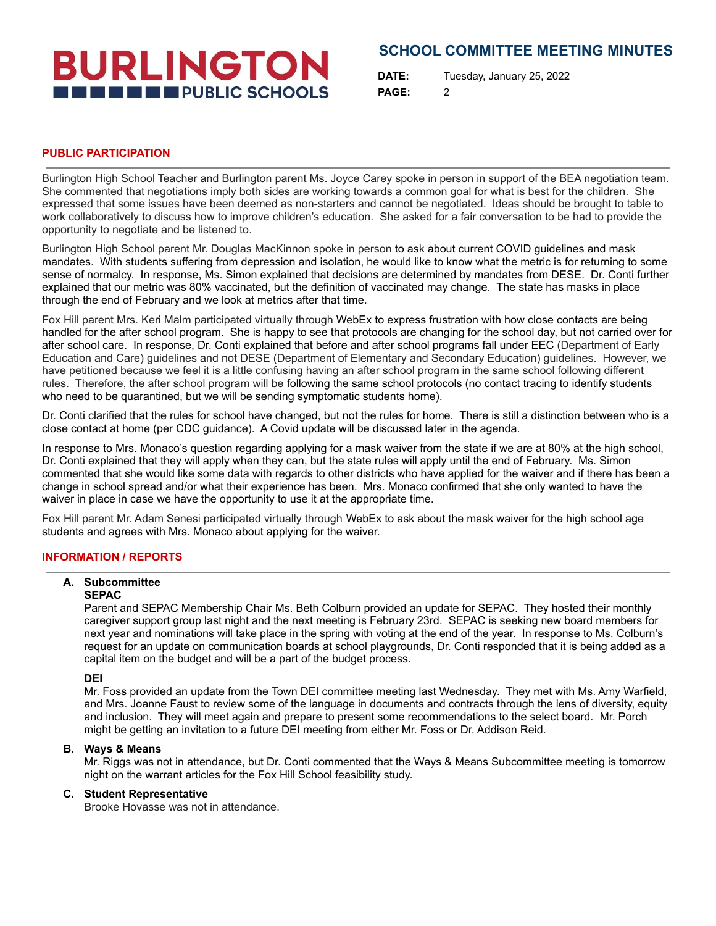# **BURLINGTON THE THE PUBLIC SCHOOLS**

# **SCHOOL COMMITTEE MEETING MINUTES**

**DATE:** Tuesday, January 25, 2022 **PAGE:** 2

## **PUBLIC PARTICIPATION**

Burlington High School Teacher and Burlington parent Ms. Joyce Carey spoke in person in support of the BEA negotiation team. She commented that negotiations imply both sides are working towards a common goal for what is best for the children. She expressed that some issues have been deemed as non-starters and cannot be negotiated. Ideas should be brought to table to work collaboratively to discuss how to improve children's education. She asked for a fair conversation to be had to provide the opportunity to negotiate and be listened to.

Burlington High School parent Mr. Douglas MacKinnon spoke in person to ask about current COVID guidelines and mask mandates. With students suffering from depression and isolation, he would like to know what the metric is for returning to some sense of normalcy. In response, Ms. Simon explained that decisions are determined by mandates from DESE. Dr. Conti further explained that our metric was 80% vaccinated, but the definition of vaccinated may change. The state has masks in place through the end of February and we look at metrics after that time.

Fox Hill parent Mrs. Keri Malm participated virtually through WebEx to express frustration with how close contacts are being handled for the after school program. She is happy to see that protocols are changing for the school day, but not carried over for after school care. In response, Dr. Conti explained that before and after school programs fall under EEC (Department of Early Education and Care) guidelines and not DESE (Department of Elementary and Secondary Education) guidelines. However, we have petitioned because we feel it is a little confusing having an after school program in the same school following different rules. Therefore, the after school program will be following the same school protocols (no contact tracing to identify students who need to be quarantined, but we will be sending symptomatic students home).

Dr. Conti clarified that the rules for school have changed, but not the rules for home. There is still a distinction between who is a close contact at home (per CDC guidance). A Covid update will be discussed later in the agenda.

In response to Mrs. Monaco's question regarding applying for a mask waiver from the state if we are at 80% at the high school, Dr. Conti explained that they will apply when they can, but the state rules will apply until the end of February. Ms. Simon commented that she would like some data with regards to other districts who have applied for the waiver and if there has been a change in school spread and/or what their experience has been. Mrs. Monaco confirmed that she only wanted to have the waiver in place in case we have the opportunity to use it at the appropriate time.

Fox Hill parent Mr. Adam Senesi participated virtually through WebEx to ask about the mask waiver for the high school age students and agrees with Mrs. Monaco about applying for the waiver.

# **INFORMATION / REPORTS**

#### **A. Subcommittee**

#### **SEPAC**

Parent and SEPAC Membership Chair Ms. Beth Colburn provided an update for SEPAC. They hosted their monthly caregiver support group last night and the next meeting is February 23rd. SEPAC is seeking new board members for next year and nominations will take place in the spring with voting at the end of the year. In response to Ms. Colburn's request for an update on communication boards at school playgrounds, Dr. Conti responded that it is being added as a capital item on the budget and will be a part of the budget process.

#### **DEI**

Mr. Foss provided an update from the Town DEI committee meeting last Wednesday. They met with Ms. Amy Warfield, and Mrs. Joanne Faust to review some of the language in documents and contracts through the lens of diversity, equity and inclusion. They will meet again and prepare to present some recommendations to the select board. Mr. Porch might be getting an invitation to a future DEI meeting from either Mr. Foss or Dr. Addison Reid.

#### **B. Ways & Means**

Mr. Riggs was not in attendance, but Dr. Conti commented that the Ways & Means Subcommittee meeting is tomorrow night on the warrant articles for the Fox Hill School feasibility study.

# **C. Student Representative**

Brooke Hovasse was not in attendance.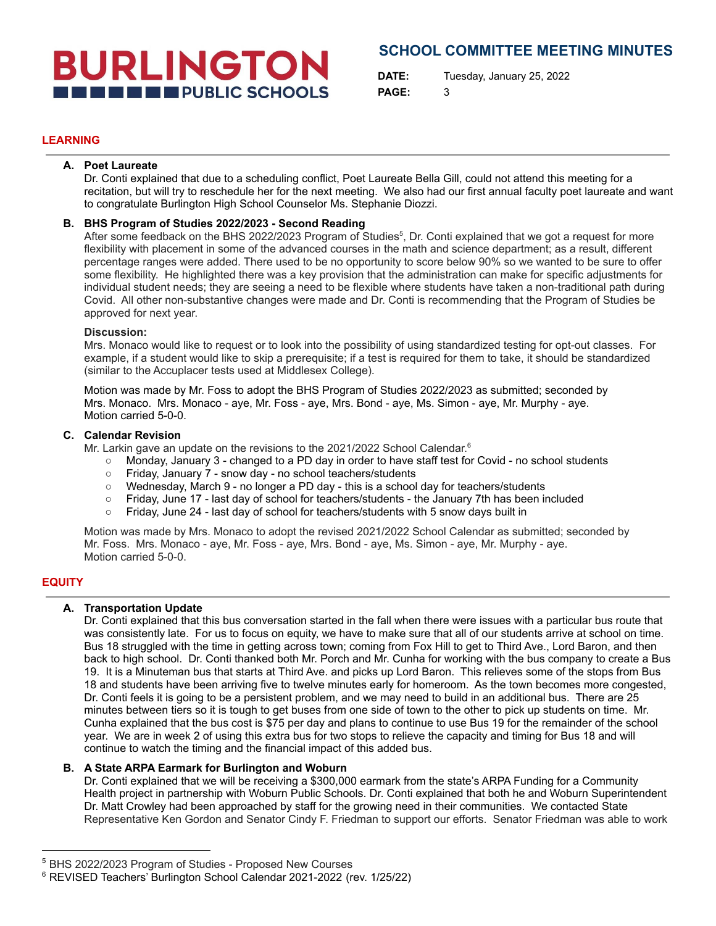# **BURLINGTON THE ENDIRECT PUBLIC SCHOOLS**

# **SCHOOL COMMITTEE MEETING MINUTES**

**DATE:** Tuesday, January 25, 2022 **PAGE:** 3

# **LEARNING**

#### **A. Poet Laureate**

Dr. Conti explained that due to a scheduling conflict, Poet Laureate Bella Gill, could not attend this meeting for a recitation, but will try to reschedule her for the next meeting. We also had our first annual faculty poet laureate and want to congratulate Burlington High School Counselor Ms. Stephanie Diozzi.

## **B. BHS Program of Studies 2022/2023 - Second Reading**

After some feedback on the BHS 2022/2023 Program of Studies<sup>5</sup>, Dr. Conti explained that we got a request for more flexibility with placement in some of the advanced courses in the math and science department; as a result, different percentage ranges were added. There used to be no opportunity to score below 90% so we wanted to be sure to offer some flexibility. He highlighted there was a key provision that the administration can make for specific adjustments for individual student needs; they are seeing a need to be flexible where students have taken a non-traditional path during Covid. All other non-substantive changes were made and Dr. Conti is recommending that the Program of Studies be approved for next year.

#### **Discussion:**

Mrs. Monaco would like to request or to look into the possibility of using standardized testing for opt-out classes. For example, if a student would like to skip a prerequisite; if a test is required for them to take, it should be standardized (similar to the Accuplacer tests used at Middlesex College).

Motion was made by Mr. Foss to adopt the BHS Program of Studies 2022/2023 as submitted; seconded by Mrs. Monaco. Mrs. Monaco - aye, Mr. Foss - aye, Mrs. Bond - aye, Ms. Simon - aye, Mr. Murphy - aye. Motion carried 5-0-0.

### **C. Calendar Revision**

Mr. Larkin gave an update on the revisions to the 2021/2022 School Calendar.<sup>6</sup>

- Monday, January 3 changed to a PD day in order to have staff test for Covid no school students
- Friday, January 7 snow day no school teachers/students
- Wednesday, March 9 no longer a PD day this is a school day for teachers/students
- Friday, June 17 last day of school for teachers/students the January 7th has been included
- Friday, June 24 last day of school for teachers/students with 5 snow days built in

Motion was made by Mrs. Monaco to adopt the revised 2021/2022 School Calendar as submitted; seconded by Mr. Foss. Mrs. Monaco - aye, Mr. Foss - aye, Mrs. Bond - aye, Ms. Simon - aye, Mr. Murphy - aye. Motion carried 5-0-0.

# **EQUITY**

# **A. Transportation Update**

Dr. Conti explained that this bus conversation started in the fall when there were issues with a particular bus route that was consistently late. For us to focus on equity, we have to make sure that all of our students arrive at school on time. Bus 18 struggled with the time in getting across town; coming from Fox Hill to get to Third Ave., Lord Baron, and then back to high school. Dr. Conti thanked both Mr. Porch and Mr. Cunha for working with the bus company to create a Bus 19. It is a Minuteman bus that starts at Third Ave. and picks up Lord Baron. This relieves some of the stops from Bus 18 and students have been arriving five to twelve minutes early for homeroom. As the town becomes more congested, Dr. Conti feels it is going to be a persistent problem, and we may need to build in an additional bus. There are 25 minutes between tiers so it is tough to get buses from one side of town to the other to pick up students on time. Mr. Cunha explained that the bus cost is \$75 per day and plans to continue to use Bus 19 for the remainder of the school year. We are in week 2 of using this extra bus for two stops to relieve the capacity and timing for Bus 18 and will continue to watch the timing and the financial impact of this added bus.

# **B. A State ARPA Earmark for Burlington and Woburn**

Dr. Conti explained that we will be receiving a \$300,000 earmark from the state's ARPA Funding for a Community Health project in partnership with Woburn Public Schools. Dr. Conti explained that both he and Woburn Superintendent Dr. Matt Crowley had been approached by staff for the growing need in their communities. We contacted State Representative Ken Gordon and Senator Cindy F. Friedman to support our efforts. Senator Friedman was able to work

<sup>5</sup> BHS 2022/2023 Program of Studies - Proposed New Courses

<sup>6</sup> REVISED Teachers' Burlington School Calendar 2021-2022 (rev. 1/25/22)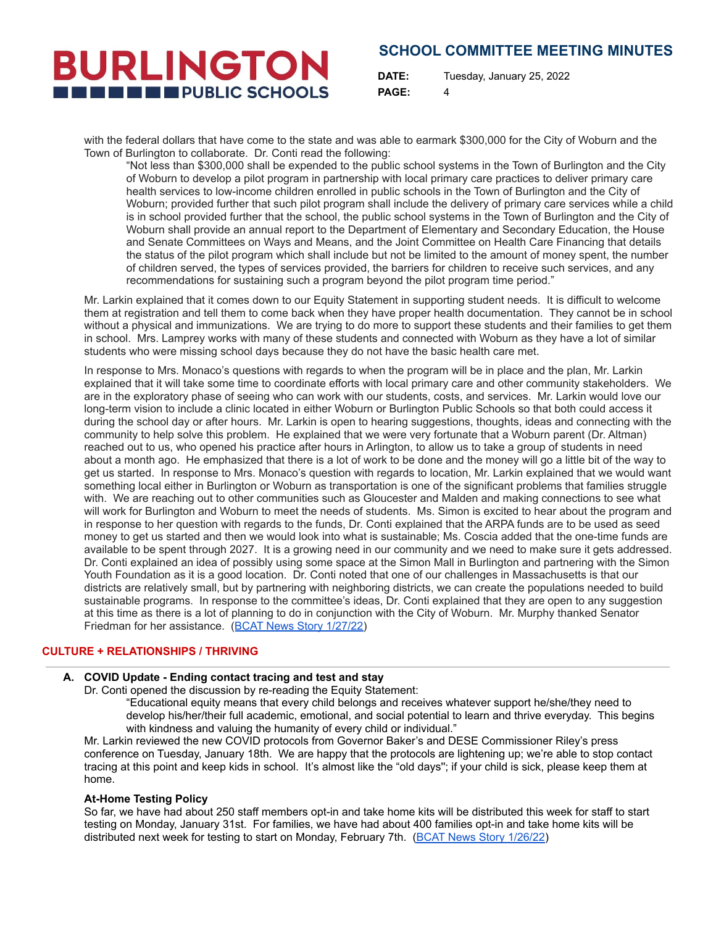# **SCHOOL COMMITTEE MEETING MINUTES**

**BURLINGTON THE THE PUBLIC SCHOOLS** 

**DATE:** Tuesday, January 25, 2022 **PAGE:** 4

with the federal dollars that have come to the state and was able to earmark \$300,000 for the City of Woburn and the Town of Burlington to collaborate. Dr. Conti read the following:

"Not less than \$300,000 shall be expended to the public school systems in the Town of Burlington and the City of Woburn to develop a pilot program in partnership with local primary care practices to deliver primary care health services to low-income children enrolled in public schools in the Town of Burlington and the City of Woburn; provided further that such pilot program shall include the delivery of primary care services while a child is in school provided further that the school, the public school systems in the Town of Burlington and the City of Woburn shall provide an annual report to the Department of Elementary and Secondary Education, the House and Senate Committees on Ways and Means, and the Joint Committee on Health Care Financing that details the status of the pilot program which shall include but not be limited to the amount of money spent, the number of children served, the types of services provided, the barriers for children to receive such services, and any recommendations for sustaining such a program beyond the pilot program time period."

Mr. Larkin explained that it comes down to our Equity Statement in supporting student needs. It is difficult to welcome them at registration and tell them to come back when they have proper health documentation. They cannot be in school without a physical and immunizations. We are trying to do more to support these students and their families to get them in school. Mrs. Lamprey works with many of these students and connected with Woburn as they have a lot of similar students who were missing school days because they do not have the basic health care met.

In response to Mrs. Monaco's questions with regards to when the program will be in place and the plan, Mr. Larkin explained that it will take some time to coordinate efforts with local primary care and other community stakeholders. We are in the exploratory phase of seeing who can work with our students, costs, and services. Mr. Larkin would love our long-term vision to include a clinic located in either Woburn or Burlington Public Schools so that both could access it during the school day or after hours. Mr. Larkin is open to hearing suggestions, thoughts, ideas and connecting with the community to help solve this problem. He explained that we were very fortunate that a Woburn parent (Dr. Altman) reached out to us, who opened his practice after hours in Arlington, to allow us to take a group of students in need about a month ago. He emphasized that there is a lot of work to be done and the money will go a little bit of the way to get us started. In response to Mrs. Monaco's question with regards to location, Mr. Larkin explained that we would want something local either in Burlington or Woburn as transportation is one of the significant problems that families struggle with. We are reaching out to other communities such as Gloucester and Malden and making connections to see what will work for Burlington and Woburn to meet the needs of students. Ms. Simon is excited to hear about the program and in response to her question with regards to the funds, Dr. Conti explained that the ARPA funds are to be used as seed money to get us started and then we would look into what is sustainable; Ms. Coscia added that the one-time funds are available to be spent through 2027. It is a growing need in our community and we need to make sure it gets addressed. Dr. Conti explained an idea of possibly using some space at the Simon Mall in Burlington and partnering with the Simon Youth Foundation as it is a good location. Dr. Conti noted that one of our challenges in Massachusetts is that our districts are relatively small, but by partnering with neighboring districts, we can create the populations needed to build sustainable programs. In response to the committee's ideas, Dr. Conti explained that they are open to any suggestion at this time as there is a lot of planning to do in conjunction with the City of Woburn. Mr. Murphy thanked Senator Friedman for her assistance. (BCAT News Story [1/27/22\)](https://bcattv.org/burlington-schools-to-receive-arpa-funds-to-provide-primary-healthcare-to-low-income-students/)

# **CULTURE + RELATIONSHIPS / THRIVING**

## **A. COVID Update - Ending contact tracing and test and stay**

Dr. Conti opened the discussion by re-reading the Equity Statement:

"Educational equity means that every child belongs and receives whatever support he/she/they need to develop his/her/their full academic, emotional, and social potential to learn and thrive everyday. This begins with kindness and valuing the humanity of every child or individual."

Mr. Larkin reviewed the new COVID protocols from Governor Baker's and DESE Commissioner Riley's press conference on Tuesday, January 18th. We are happy that the protocols are lightening up; we're able to stop contact tracing at this point and keep kids in school. It's almost like the "old days''; if your child is sick, please keep them at home.

#### **At-Home Testing Policy**

So far, we have had about 250 staff members opt-in and take home kits will be distributed this week for staff to start testing on Monday, January 31st. For families, we have had about 400 families opt-in and take home kits will be distributed next week for testing to start on Monday, February 7th. (BCAT News Story [1/26/22](https://bcattv.org/burlington-schools-to-offer-at-home-tests-end-contact-tracing/))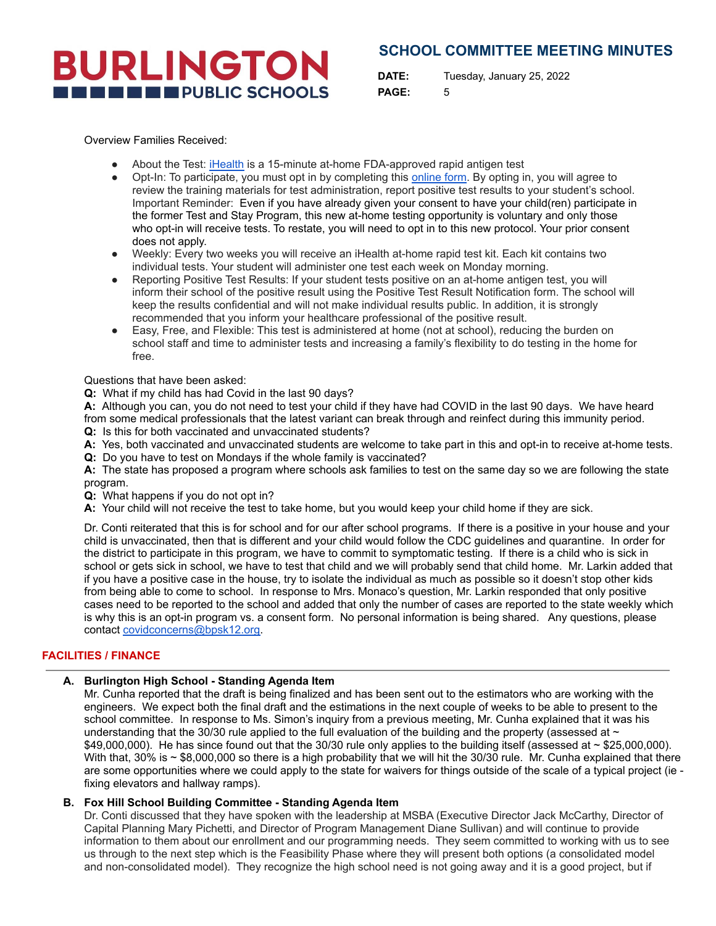# **SCHOOL COMMITTEE MEETING MINUTES**

**DATE:** Tuesday, January 25, 2022 **PAGE:** 5

Overview Families Received:

**BURLINGTON** 

**THE ENDIRE PUBLIC SCHOOLS** 

- About the Test: [iHealth](https://ihealthlabs.com/) is a 15-minute at-home FDA-approved rapid antigen test
- Opt-In: To participate, you must opt in by completing this [online](https://docs.google.com/document/d/1OOFsH9yyKRxWySqUtJaH0USFp9S5HscX8xTMBbuxz1k/edit?usp=sharing) form. By opting in, you will agree to review the training materials for test administration, report positive test results to your student's school. Important Reminder: Even if you have already given your consent to have your child(ren) participate in the former Test and Stay Program, this new at-home testing opportunity is voluntary and only those who opt-in will receive tests. To restate, you will need to opt in to this new protocol. Your prior consent does not apply.
- Weekly: Every two weeks you will receive an iHealth at-home rapid test kit. Each kit contains two individual tests. Your student will administer one test each week on Monday morning.
- Reporting Positive Test Results: If your student tests positive on an at-home antigen test, you will inform their school of the positive result using the Positive Test Result Notification form. The school will keep the results confidential and will not make individual results public. In addition, it is strongly recommended that you inform your healthcare professional of the positive result.
- Easy, Free, and Flexible: This test is administered at home (not at school), reducing the burden on school staff and time to administer tests and increasing a family's flexibility to do testing in the home for free.

Questions that have been asked:

**Q:** What if my child has had Covid in the last 90 days?

**A:** Although you can, you do not need to test your child if they have had COVID in the last 90 days. We have heard from some medical professionals that the latest variant can break through and reinfect during this immunity period.

- **Q:** Is this for both vaccinated and unvaccinated students?
- **A:** Yes, both vaccinated and unvaccinated students are welcome to take part in this and opt-in to receive at-home tests.
- **Q:** Do you have to test on Mondays if the whole family is vaccinated?

**A:** The state has proposed a program where schools ask families to test on the same day so we are following the state program.

- **Q:** What happens if you do not opt in?
- **A:** Your child will not receive the test to take home, but you would keep your child home if they are sick.

Dr. Conti reiterated that this is for school and for our after school programs. If there is a positive in your house and your child is unvaccinated, then that is different and your child would follow the CDC guidelines and quarantine. In order for the district to participate in this program, we have to commit to symptomatic testing. If there is a child who is sick in school or gets sick in school, we have to test that child and we will probably send that child home. Mr. Larkin added that if you have a positive case in the house, try to isolate the individual as much as possible so it doesn't stop other kids from being able to come to school. In response to Mrs. Monaco's question, Mr. Larkin responded that only positive cases need to be reported to the school and added that only the number of cases are reported to the state weekly which is why this is an opt-in program vs. a consent form. No personal information is being shared. Any questions, please contact [covidconcerns@bpsk12.org.](mailto:covidquestions@bpsk12.org)

### **FACILITIES / FINANCE**

## **A. Burlington High School - Standing Agenda Item**

Mr. Cunha reported that the draft is being finalized and has been sent out to the estimators who are working with the engineers. We expect both the final draft and the estimations in the next couple of weeks to be able to present to the school committee. In response to Ms. Simon's inquiry from a previous meeting, Mr. Cunha explained that it was his understanding that the 30/30 rule applied to the full evaluation of the building and the property (assessed at  $\sim$  $$49,000,000$ . He has since found out that the 30/30 rule only applies to the building itself (assessed at  $\sim$  \$25,000,000). With that,  $30\%$  is  $\sim$  \$8,000,000 so there is a high probability that we will hit the 30/30 rule. Mr. Cunha explained that there are some opportunities where we could apply to the state for waivers for things outside of the scale of a typical project (ie fixing elevators and hallway ramps).

#### **B. Fox Hill School Building Committee - Standing Agenda Item**

Dr. Conti discussed that they have spoken with the leadership at MSBA (Executive Director Jack McCarthy, Director of Capital Planning Mary Pichetti, and Director of Program Management Diane Sullivan) and will continue to provide information to them about our enrollment and our programming needs. They seem committed to working with us to see us through to the next step which is the Feasibility Phase where they will present both options (a consolidated model and non-consolidated model). They recognize the high school need is not going away and it is a good project, but if